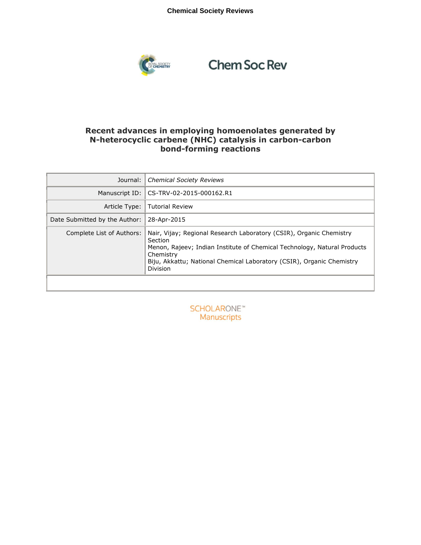## **Chemical Society Reviews**



## **Chem Soc Rev**

## **Recent advances in employing homoenolates generated by N-heterocyclic carbene (NHC) catalysis in carbon-carbon bond-forming reactions**

| Journal:                      | <b>Chemical Society Reviews</b>                                                                                                                                                                                                                              |
|-------------------------------|--------------------------------------------------------------------------------------------------------------------------------------------------------------------------------------------------------------------------------------------------------------|
| Manuscript ID:                | CS-TRV-02-2015-000162.R1                                                                                                                                                                                                                                     |
| Article Type:                 | Tutorial Review                                                                                                                                                                                                                                              |
| Date Submitted by the Author: | 28-Apr-2015                                                                                                                                                                                                                                                  |
| Complete List of Authors:     | Nair, Vijay; Regional Research Laboratory (CSIR), Organic Chemistry<br>Section<br>Menon, Rajeev; Indian Institute of Chemical Technology, Natural Products<br>Chemistry<br>Biju, Akkattu; National Chemical Laboratory (CSIR), Organic Chemistry<br>Division |

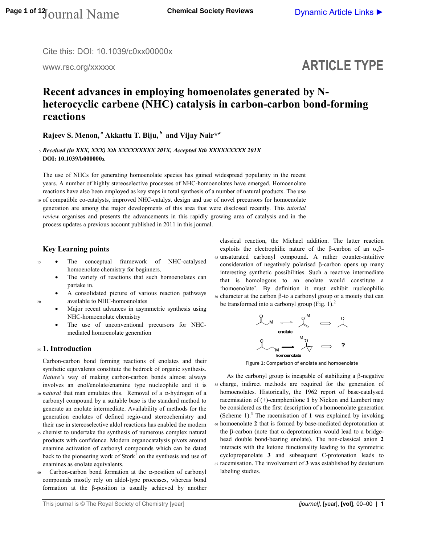Cite this: DOI: 10.1039/c0xx00000x

www.rsc.org/xxxxxx

# **ARTICLE TYPE**

## **Recent advances in employing homoenolates generated by Nheterocyclic carbene (NHC) catalysis in carbon-carbon bond-forming reactions**

**Rajeev S. Menon,***<sup>a</sup>* **Akkattu T. Biju,***<sup>b</sup>* **and Vijay Nair\*,***<sup>c</sup>* 

<sup>5</sup>*Received (in XXX, XXX) Xth XXXXXXXXX 201X, Accepted Xth XXXXXXXXX 201X*  **DOI: 10.1039/b000000x** 

The use of NHCs for generating homoenolate species has gained widespread popularity in the recent years. A number of highly stereoselective processes of NHC-homoenolates have emerged. Homoenolate reactions have also been employed as key steps in total synthesis of a number of natural products. The use

<sup>10</sup>of compatible co-catalysts, improved NHC-catalyst design and use of novel precursors for homoenolate generation are among the major developments of this area that were disclosed recently. This *tutorial review* organises and presents the advancements in this rapidly growing area of catalysis and in the process updates a previous account published in 2011 in this journal.

## **Key Learning points**

- <sup>15</sup> The conceptual framework of NHC-catalysed homoenolate chemistry for beginners.
	- The variety of reactions that such homoenolates can partake in.
- A consolidated picture of various reaction pathways 20 available to NHC-homoenolates
	- Major recent advances in asymmetric synthesis using NHC-homoenolate chemistry
	- The use of unconventional precursors for NHCmediated homoenolate generation

### <sup>25</sup>**1. Introduction**

Carbon-carbon bond forming reactions of enolates and their synthetic equivalents constitute the bedrock of organic synthesis. *Nature's* way of making carbon-carbon bonds almost always involves an enol/enolate/enamine type nucleophile and it is

- <sup>30</sup>*natural* that man emulates this. Removal of a α-hydrogen of a carbonyl compound by a suitable base is the standard method to generate an enolate intermediate. Availability of methods for the generation enolates of defined regio-and stereochemistry and their use in stereoselective aldol reactions has enabled the modern
- <sup>35</sup>chemist to undertake the synthesis of numerous complex natural products with confidence. Modern organocatalysis pivots around enamine activation of carbonyl compounds which can be dated back to the pioneering work of  $Stork<sup>1</sup>$  on the synthesis and use of enamines as enolate equivalents.
- $40$  Carbon-carbon bond formation at the α-position of carbonyl compounds mostly rely on aldol-type processes, whereas bond formation at the β-position is usually achieved by another

classical reaction, the Michael addition. The latter reaction exploits the electrophilic nature of the β-carbon of an  $\alpha$ ,β-<sup>45</sup>unsaturated carbonyl compound. A rather counter-intuitive consideration of negatively polarised β-carbon opens up many interesting synthetic possibilities. Such a reactive intermediate that is homologous to an enolate would constitute a 'homoenolate'. By definition it must exhibit nucleophilic <sup>50</sup>character at the carbon β-to a carbonyl group or a moiety that can be transformed into a carbonyl group (Fig. 1).<sup>2</sup>



Figure 1: Comparison of enolate and homoenolate

 As the carbonyl group is incapable of stabilizing a β-negative <sup>55</sup>charge, indirect methods are required for the generation of homoenolates. Historically, the 1962 report of base-catalysed racemisation of (+)-camphenilone **1** by Nickon and Lambert may be considered as the first description of a homoenolate generation (Scheme  $1$ ).<sup>3</sup> The racemisation of **1** was explained by invoking <sup>60</sup>homoenolate **2** that is formed by base-mediated deprotonation at the β-carbon (note that α-deprotonation would lead to a bridgehead double bond-bearing enolate). The non-classical anion **2** interacts with the ketone functionality leading to the symmetric cyclopropanolate **3** and subsequent C-protonation leads to <sup>65</sup>racemisation. The involvement of **3** was established by deuterium labeling studies.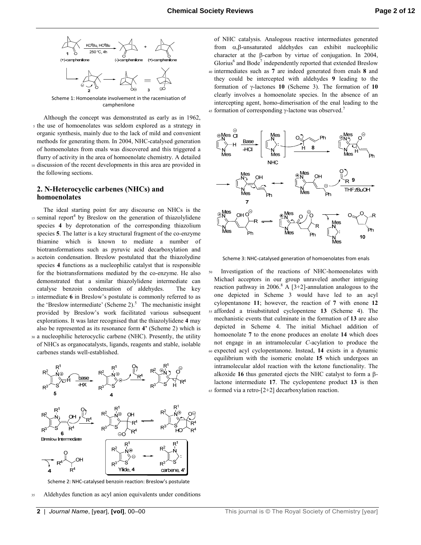

Scheme 1: Homoenolate involvement in the racemisation of camphenilone

 Although the concept was demonstrated as early as in 1962, <sup>5</sup>the use of homoenolates was seldom explored as a strategy in organic synthesis, mainly due to the lack of mild and convenient methods for generating them. In 2004, NHC-catalysed generation of homoenolates from enals was discovered and this triggered a flurry of activity in the area of homoenolate chemistry. A detailed <sup>10</sup>discussion of the recent developments in this area are provided in the following sections.

## **2. N-Heterocyclic carbenes (NHCs) and homoenolates**

- The ideal starting point for any discourse on NHCs is the 15 seminal report<sup>4</sup> by Breslow on the generation of thiazolylidene species **4** by deprotonation of the corresponding thiazolium species **5**. The latter is a key structural fragment of the co-enzyme thiamine which is known to mediate a number of biotransformations such as pyruvic acid decarboxylation and <sup>20</sup>acetoin condensation. Breslow postulated that the thiazolydine species **4** functions as a nucleophilic catalyst that is responsible
- for the biotransformations mediated by the co-enzyme. He also demonstrated that a similar thiazolylidene intermediate can catalyse benzoin condensation of aldehydes. The key <sup>25</sup>intermediate **6** in Breslow's postulate is commonly referred to as
- the 'Breslow intermediate' (Scheme 2).<sup>5</sup> The mechanistic insight provided by Breslow's work facilitated various subsequent explorations. It was later recognised that the thiazolylidene **4** may also be represented as its resonance form **4'** (Scheme 2) which is <sup>30</sup>a nucleophilic heterocyclic carbene (NHC). Presently, the utility
- of NHCs as organocatalysts, ligands, reagents and stable, isolable carbenes stands well-established.



Scheme 2: NHC-catalysed benzoin reaction: Breslow's postulate

Aldehydes function as acyl anion equivalents under conditions

of NHC catalysis. Analogous reactive intermediates generated from α,β-unsaturated aldehydes can exhibit nucleophilic character at the β-carbon by virtue of conjugation. In 2004, Glorius<sup>6</sup> and Bode<sup>7</sup> independently reported that extended Breslow <sup>40</sup>intermediates such as **7** are indeed generated from enals **8** and they could be intercepted with aldehydes **9** leading to the formation of γ-lactones **10** (Scheme 3). The formation of **10** clearly involves a homoenolate species. In the absence of an intercepting agent, homo-dimerisation of the enal leading to the  $45$  formation of corresponding γ-lactone was observed.<sup>7</sup>



Scheme 3: NHC-catalysed generation of homoenolates from enals

Investigation of the reactions of NHC-homoenolates with Michael acceptors in our group unraveled another intriguing reaction pathway in 2006.<sup>8</sup> A [3+2]-annulation analogous to the one depicted in Scheme 3 would have led to an acyl cylopentanone **11**; however, the reaction of **7** with enone **12** <sup>55</sup>afforded a trisubstituted cyclopentene **13** (Scheme 4). The mechanistic events that culminate in the formation of **13** are also depicted in Scheme 4. The initial Michael addition of homoenolate **7** to the enone produces an enolate **14** which does not engage in an intramolecular *C*-acylation to produce the <sup>60</sup>expected acyl cyclopentanone. Instead, **14** exists in a dynamic equilibrium with the isomeric enolate **15** which undergoes an intramolecular aldol reaction with the ketone functionality. The alkoxide **16** thus generated ejects the NHC catalyst to form a βlactone intermediate **17**. The cyclopentene product **13** is then  $65$  formed via a retro- $[2+2]$  decarboxylation reaction.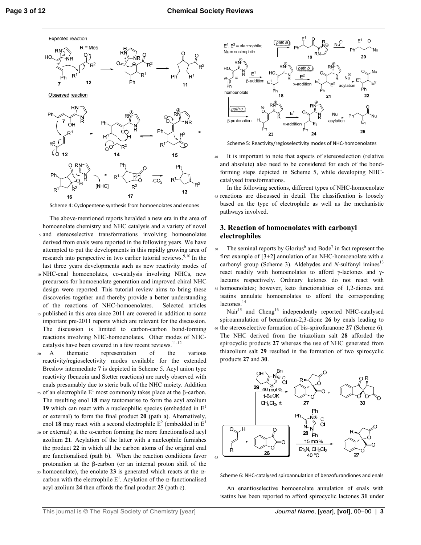

Scheme 4: Cyclopentene synthesis from homoenolates and enones

- The above-mentioned reports heralded a new era in the area of homoenolate chemistry and NHC catalysis and a variety of novel <sup>5</sup>and stereoselective transformations involving homoenolates derived from enals were reported in the following years. We have attempted to put the developments in this rapidly growing area of research into perspective in two earlier tutorial reviews. $9,10$  In the last three years developments such as new reactivity modes of
- <sup>10</sup>NHC-enal homoenolates, co-catalysis involving NHCs, new precursors for homoenolate generation and improved chiral NHC design were reported. This tutorial review aims to bring these discoveries together and thereby provide a better understanding of the reactions of NHC-homoenolates. Selected articles
- 15 published in this area since 2011 are covered in addition to some important pre-2011 reports which are relevant for the discussion. The discussion is limited to carbon-carbon bond-forming reactions involving NHC-homoenolates. Other modes of NHCcatalysis have been covered in a few recent reviews.<sup>11-12</sup>
- <sup>20</sup>A thematic representation of the various reactivity/regioselectivity modes available for the extended Breslow intermediate **7** is depicted in Scheme 5. Acyl anion type reactivity (benzoin and Stetter reactions) are rarely observed with enals presumably due to steric bulk of the NHC moiety. Addition
- 25 of an electrophile  $E^1$  most commonly takes place at the β-carbon. The resulting enol **18** may tautomerise to form the acyl azolium **19** which can react with a nucleophilic species (embedded in  $E<sup>1</sup>$ or external) to form the final product **20** (path a). Alternatively, enol 18 may react with a second electrophile  $E^2$  (embedded in  $E^1$
- <sup>30</sup>or external) at the α-carbon forming the more functionalised acyl azolium **21**. Acylation of the latter with a nucleophile furnishes the product **22** in which all the carbon atoms of the original enal are functionalised (path b). When the reaction conditions favor protonation at the β-carbon (or an internal proton shift of the
- $35$  homoenolate), the enolate 23 is generated which reacts at the  $\alpha$ carbon with the electrophile  $E^1$ . Acylation of the  $\alpha$ -functionalised acyl azolium **24** then affords the final product **25** (path c).



Scheme 5: Reactivity/regioselectivity modes of NHC-homoenolates

<sup>40</sup>It is important to note that aspects of stereoselection (relative and absolute) also need to be considered for each of the bondforming steps depicted in Scheme 5, while developing NHCcatalysed transformations.

 In the following sections, different types of NHC-homoenolate <sup>45</sup>reactions are discussed in detail. The classification is loosely based on the type of electrophile as well as the mechanistic pathways involved.

## **3. Reaction of homoenolates with carbonyl electrophiles**

 $50$  The seminal reports by Glorius<sup>6</sup> and Bode<sup>7</sup> in fact represent the first example of [3+2] annulation of an NHC-homoenolate with a carbonyl group (Scheme 3). Aldehydes and *N*-sulfonyl imines<sup>13</sup> react readily with homoenolates to afford γ-lactones and γlactams respectively. Ordinary ketones do not react with <sup>55</sup>homoenolates; however, keto functionalities of 1,2-diones and isatins annulate homoenolates to afford the corresponding lactones.<sup>14</sup>

Nair<sup>15</sup> and Cheng<sup>16</sup> independently reported NHC-catalysed spiroannulation of benzofuran-2,3-dione **26** by enals leading to <sup>60</sup>the stereoselective formation of bis-spirofuranone **27** (Scheme 6). The NHC derived from the triazolium salt **28** afforded the spirocyclic products **27** whereas the use of NHC generated from thiazolium salt **29** resulted in the formation of two spirocyclic products **27** and **30**.



Scheme 6: NHC-catalysed spiroannulation of benzofurandiones and enals

 An enantioselective homoenolate annulation of enals with isatins has been reported to afford spirocyclic lactones **31** under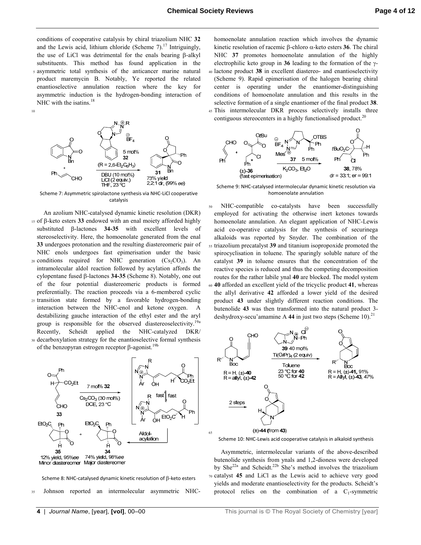65

conditions of cooperative catalysis by chiral triazolium NHC **32** and the Lewis acid, lithium chloride (Scheme 7).<sup>17</sup> Intriguingly, the use of LiCl was detrimental for the enals bearing β-alkyl substituents. This method has found application in the <sup>5</sup>asymmetric total synthesis of the anticancer marine natural product maremycin B. Notably, Ye reported the related enantioselective annulation reaction where the key for asymmetric induction is the hydrogen-bonding interaction of NHC with the isatins.<sup>18</sup>

10



Scheme 7: Asymmetric spirolactone synthesis via NHC-LiCl cooperative catalysis

- An azolium NHC-catalysed dynamic kinetic resolution (DKR) <sup>15</sup>of β-keto esters **33** endowed with an enal moiety afforded highly substituted β-lactones **34-35** with excellent levels of stereoselectivity. Here, the homoenolate generated from the enal **33** undergoes protonation and the resulting diastereomeric pair of NHC enols undergoes fast epimerisation under the basic 20 conditions required for NHC generation  $(Cs_2CO_3)$ . An intramolecular aldol reaction followed by acylation affords the cylopentane fused β-lactones **34-35** (Scheme 8). Notably, one out of the four potential diastereomeric products is formed preferentially. The reaction proceeds via a 6-membered cyclic
- <sup>25</sup>transition state formed by a favorable hydrogen-bonding interaction between the NHC-enol and ketone oxygen. A destabilizing gauche interaction of the ethyl ester and the aryl group is responsible for the observed diastereoselectivity.<sup>19a</sup> Recently, Scheidt applied the NHC-catalyzed DKR/ <sup>30</sup>decarboxylation strategy for the enantioselective formal synthesis
- of the benzopyran estrogen receptor β-agonist.<sup>19b</sup>



Scheme 8: NHC-catalysed dynamic kinetic resolution of β-keto esters

35 Johnson reported an intermolecular asymmetric NHC-

homoenolate annulation reaction which involves the dynamic kinetic resolution of racemic β-chloro α-keto esters **36**. The chiral NHC **37** promotes homoenolate annulation of the highly electrophilic keto group in **36** leading to the formation of the γ-<sup>40</sup>lactone product **38** in excellent diastereo- and enantioselectivity (Scheme 9). Rapid epimerisation of the halogen bearing chiral center is operating under the enantiomer-distinguishing conditions of homoenolate annulation and this results in the selective formation of a single enantiomer of the final product **38**. <sup>45</sup>This intermolecular DKR process selectively installs three

contiguous stereocenters in a highly functionalised product.<sup>20</sup>



Scheme 9: NHC-catalysed intermolecular dynamic kinetic resolution via homoenolate annulation

NHC-compatible co-catalysts have been successfully employed for activating the otherwise inert ketones towards homoenolate annulation. An elegant application of NHC-Lewis acid co-operative catalysis for the synthesis of securinega alkaloids was reported by Snyder. The combination of the <sup>55</sup>triazolium precatalyst **39** and titanium isopropoxide promoted the spirocyclisation in toluene. The sparingly soluble nature of the catalyst **39** in toluene ensures that the concentration of the reactive species is reduced and thus the competing decomposition routes for the rather labile ynal **40** are blocked. The model system <sup>60</sup>**40** afforded an excellent yield of the tricyclic product **41**, whereas the allyl derivative **42** afforded a lower yield of the desired product **43** under slightly different reaction conditions. The butenolide **43** was then transformed into the natural product 3 deshydroxy-secu'amamine A  $44$  in just two steps (Scheme 10).<sup>21</sup>



Scheme 10: NHC-Lewis acid cooperative catalysis in alkaloid synthesis

 Asymmetric, intermolecular variants of the above-described butenolide synthesis from ynals and 1,2-dioness were developed by She<sup>22a</sup> and Scheidt.<sup>22b</sup> She's method involves the triazolium <sup>70</sup>catalyst **45** and LiCl as the Lewis acid to achieve very good yields and moderate enantioselectivity for the products. Scheidt's protocol relies on the combination of a  $C_1$ -symmetric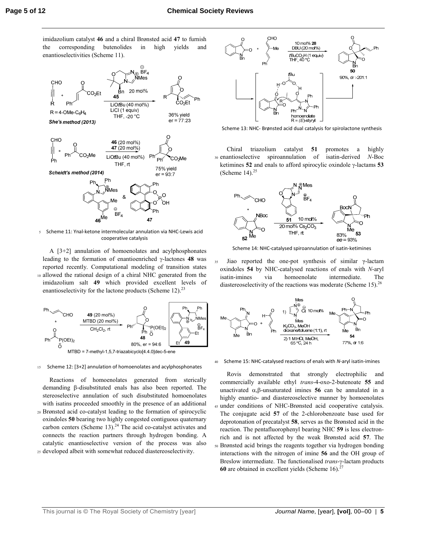imidazolium catalyst **46** and a chiral Brønsted acid **47** to furnish the corresponding butenolides in high yields and enantioselectivities (Scheme 11).



<sup>5</sup>Scheme 11: Ynal-ketone intermolecular annulation via NHC-Lewis acid cooperative catalysis

 A [3+2] annulation of homoenolates and acylphosphonates leading to the formation of enantioenriched γ-lactones **48** was reported recently. Computational modeling of transition states 10 allowed the rational design of a chiral NHC generated from the imidazolium salt **49** which provided excellent levels of enantioselectivity for the lactone products (Scheme 12).<sup>23</sup>



#### 15 Scheme 12: [3+2] annulation of homoenolates and acylphosphonates

 Reactions of homoenolates generated from sterically demanding β-disubstituted enals has also been reported. The stereoselective annulation of such disubstituted homoenolates with isatins proceeded smoothly in the presence of an additional <sup>20</sup>Brønsted acid co-catalyst leading to the formation of spirocyclic oxindoles **50** bearing two highly congested contiguous quaternary carbon centers (Scheme 13). $24$  The acid co-catalyst activates and connects the reaction partners through hydrogen bonding. A catalytic enantioselective version of the process was also <sup>25</sup>developed albeit with somewhat reduced diastereoselectivity.



Scheme 13: NHC- Brønsted acid dual catalysis for spirolactone synthesis

 Chiral triazolium catalyst **51** promotes a highly <sup>30</sup>enantioselective spiroannulation of isatin-derived *N*-Boc ketimines **52** and enals to afford spirocylic oxindole γ-lactams **53** (Scheme  $14$ ).<sup>25</sup>



Scheme 14: NHC-catalysed spiroannulation of isatin-ketimines

<sup>35</sup>Jiao reported the one-pot synthesis of similar γ-lactam oxindoles **54** by NHC-catalysed reactions of enals with *N*-aryl isatin-imines via homoenolate intermediate. The diastereoselectivity of the reactions was moderate (Scheme 15).<sup>26</sup>



#### 40 Scheme 15: NHC-catalysed reactions of enals with *N*-aryl isatin-imines

 Rovis demonstrated that strongly electrophilic and commercially available ethyl *trans*-4-oxo-2-butenoate **55** and unactivated  $\alpha$ , β-unsaturated imines **56** can be annulated in a highly enantio- and diastereoselective manner by homoenolates 45 under conditions of NHC-Brønsted acid cooperative catalysis. The conjugate acid **57** of the 2-chlorobenzoate base used for deprotonation of precatalyst **58**, serves as the Brønsted acid in the reaction. The pentafluorophenyl bearing NHC **59** is less electronrich and is not affected by the weak Brønsted acid **57**. The <sup>50</sup>Brønsted acid brings the reagents together via hydrogen bonding interactions with the nitrogen of imine **56** and the OH group of Breslow intermediate. The functionalised *trans*-γ-lactam products **60** are obtained in excellent yields (Scheme  $16$ ).<sup>2</sup>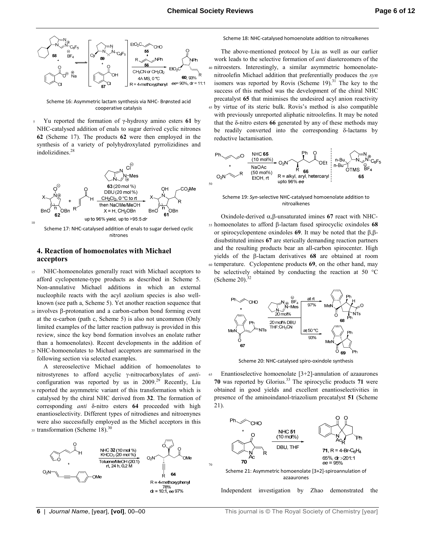

Scheme 16: Asymmetric lactam synthesis via NHC- Brønsted acid cooperative catalysis

<sup>5</sup>Yu reported the formation of γ-hydroxy amino esters **61** by NHC-catalysed addition of enals to sugar derived cyclic nitrones **62** (Scheme 17). The products **62** were then employed in the synthesis of a variety of polyhydroxylated pyrrolizidines and indolizidines.<sup>28</sup>



Scheme 17: NHC-catalysed addition of enals to sugar derived cyclic nitrones

## **4. Reaction of homoenolates with Michael acceptors**

- 15 NHC-homoenolates generally react with Michael acceptors to afford cyclopentene-type products as described in Scheme 5. Non-annulative Michael additions in which an external nucleophile reacts with the acyl azolium species is also wellknown (see path a, Scheme 5). Yet another reaction sequence that
- <sup>20</sup>involves β-protonation and a carbon-carbon bond forming event at the  $\alpha$ -carbon (path c, Scheme 5) is also not uncommon (Only limited examples of the latter reaction pathway is provided in this review, since the key bond formation involves an enolate rather than a homoenolates). Recent developments in the addition of <sup>25</sup>NHC-homoenolates to Michael acceptors are summarised in the
- following section via selected examples.

 A stereoselective Michael addition of homoenolates to nitrostyrenes to afford acyclic γ-nitrocarboxylates of *anti*configuration was reported by us in  $2009$ .<sup>29</sup> Recently, Liu 30 reported the asymmetric variant of this transformation which is catalysed by the chiral NHC derived from **32**. The formation of corresponding *anti* δ-nitro esters **64** proceeded with high enantioselectivity. Different types of nitrodienes and nitroenynes

were also successfully employed as the Michel acceptors in this  $35$  transformation (Scheme 18).<sup>30</sup>



#### Scheme 18: NHC-catalysed homoenolate addition to nitroalkenes

 The above-mentioned protocol by Liu as well as our earlier work leads to the selective formation of *anti* diastereomers of the 40 nitroesters. Interestingly, a similar asymmetric homoenolatenitroolefin Michael addition that preferentially produces the *syn* isomers was reported by Rovis (Scheme  $19$ ).<sup>31</sup> The key to the success of this method was the development of the chiral NHC precatalyst **65** that minimises the undesired acyl anion reactivity <sup>45</sup>by virtue of its steric bulk. Rovis's method is also compatible with previously unreported aliphatic nitroolefins. It may be noted that the δ-nitro esters **66** generated by any of these methods may be readily converted into the corresponding δ-lactams by reductive lactamisation.



Scheme 19: *Syn*-selective NHC-catalysed homoenolate addition to nitroalkenes

 Oxindole-derived α,β-unsaturated imines **67** react with NHC-<sup>55</sup>homoenolates to afford β-lactam fused spirocyclic oxindoles **68** or spirocyclopentene oxindoles **69**. It may be noted that the β,βdisubstituted imines **67** are sterically demanding reaction partners and the resulting products bear an all-carbon spirocenter. High yields of the β-lactam derivatives **68** are obtained at room <sup>60</sup>temperature. Cyclopentene products **69**, on the other hand, may be selectively obtained by conducting the reaction at 50 °C (Scheme 20). $32$ 



Scheme 20: NHC-catalysed spiro-oxindole synthesis

<sup>65</sup>Enantioselective homoenolate [3+2]-annulation of azaaurones **70** was reported by Glorius.<sup>33</sup> The spirocyclic products **71** were obtained in good yields and excellent enantioselectivities in presence of the aminoindanol-triazolium precatalyst **51** (Scheme 21).



70

Independent investigation by Zhao demonstrated the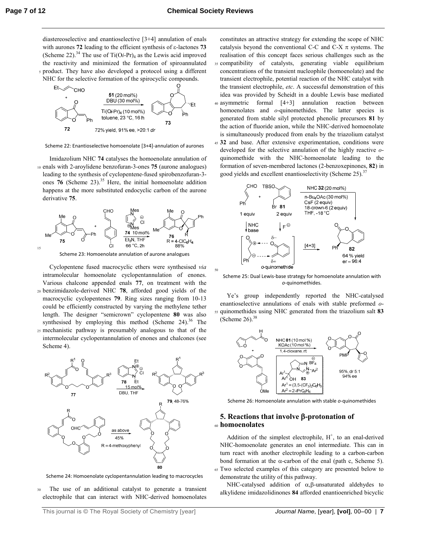50

diastereoselective and enantioselective [3+4] annulation of enals with aurones **72** leading to the efficient synthesis of ε-lactones **73** (Scheme 22).<sup>34</sup> The use of  $Ti(Oi-Pr)_4$  as the Lewis acid improved the reactivity and minimized the formation of spiroannulated <sup>5</sup>product. They have also developed a protocol using a different



Scheme 22: Enantioselective homoenolate [3+4]-annulation of aurones

 Imidazolium NHC **74** catalyses the homoenolate annulation of <sup>10</sup>enals with 2-aroylidene benzofuran-3-ones **75** (aurone analogues) leading to the synthesis of cyclopentene-fused spirobenzofuran-3 ones **76** (Scheme 23).<sup>35</sup> Here, the initial homoenolate addition happens at the more substituted endocyclic carbon of the aurone derivative **75**.



Scheme 23: Homoenolate annulation of aurone analogues

 Cyclopentene fused macrocyclic ethers were synthesised *via* intramolecular homoenolate cyclopentannulation of enones. Various chalcone appended enals **77**, on treatment with the <sup>20</sup>benzimidazole-derived NHC **78**, afforded good yields of the macrocyclic cyclopentenes **79**. Ring sizes ranging from 10-13 could be efficiently constructed by varying the methylene tether length. The designer "semicrown" cyclopentene **80** was also synthesised by employing this method (Scheme  $24$ ).<sup>36</sup> The <sup>25</sup>mechanistic pathway is presumably analogous to that of the intermolecular cyclopentannulation of enones and chalcones (see



Scheme 24: Homoenolate cyclopentannulation leading to macrocycles

<sup>30</sup>The use of an additional catalyst to generate a transient electrophile that can interact with NHC-derived homoenolates

constitutes an attractive strategy for extending the scope of NHC catalysis beyond the conventional C-C and C-X  $\pi$  systems. The realisation of this concept faces serious challenges such as the 35 compatibility of catalysts, generating viable equilibrium concentrations of the transient nucleophile (homoenolate) and the transient electrophile, potential reaction of the NHC catalyst with the transient electrophile, *etc*. A successful demonstration of this idea was provided by Scheidt in a double Lewis base mediated <sup>40</sup>asymmetric formal [4+3] annulation reaction between homoenolates and *o*-quinomethides. The latter species is generated from stable silyl protected phenolic precursors **81** by the action of fluoride anion, while the NHC-derived homoenolate is simultaneously produced from enals by the triazolium catalyst <sup>45</sup>**32** and base. After extensive experimentation, conditions were developed for the selective annulation of the highly reactive *o*quinomethide with the NHC-homoenolate leading to the formation of seven-membered lactones (2-benzoxepinones, **82**) in



good yields and excellent enantioselectivity (Scheme 25).<sup>37</sup>

Scheme 25: Dual Lewis-base strategy for homoenolate annulation with *o*-quinomethides.

 Ye's group independently reported the NHC-catalysed enantioselective annulations of enals with stable preformed *o*-<sup>55</sup>quinomethides using NHC generated from the triazolium salt **83** (Scheme 26). $38$ 



Scheme 26: Homoenolate annulation with stable *o*-quinomethides

### **5. Reactions that involve** β**-protonation of**  <sup>60</sup>**homoenolates**

Addition of the simplest electrophile,  $H^+$ , to an enal-derived NHC-homoenolate generates an enol intermediate. This can in turn react with another electrophile leading to a carbon-carbon bond formation at the  $\alpha$ -carbon of the enal (path c, Scheme 5). <sup>65</sup>Two selected examples of this category are presented below to demonstrate the utility of this pathway.

 NHC-catalysed addition of α,β-unsaturated aldehydes to alkylidene imidazolidinones **84** afforded enantioenriched bicyclic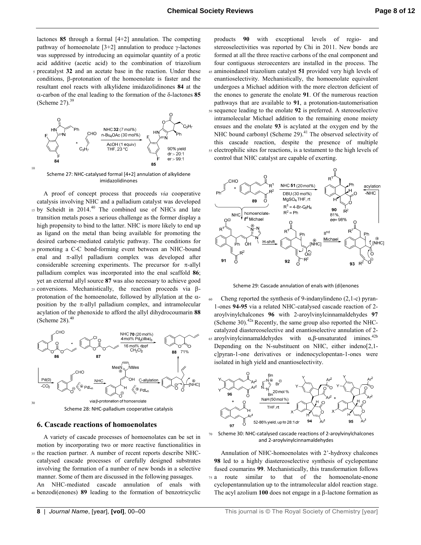lactones **85** through a formal [4+2] annulation. The competing pathway of homoenolate [3+2] annulation to produce γ-lactones was suppressed by introducing an equimolar quantity of a protic acid additive (acetic acid) to the combination of triazolium <sup>5</sup>precatalyst **32** and an acetate base in the reaction. Under these conditions, β-protonation of the homoenolate is faster and the resultant enol reacts with alkylidene imidazolidinones **84** at the α-carbon of the enal leading to the formation of the δ-lactones **85** (Scheme 27). $39$ 



Scheme 27: NHC-catalysed formal [4+2] annulation of alkylidene imidazolidinones

10

 A proof of concept process that proceeds *via* cooperative catalysis involving NHC and a palladium catalyst was developed  $15$  by Scheidt in 2014.<sup>40</sup> The combined use of NHCs and late transition metals poses a serious challenge as the former display a high propensity to bind to the latter. NHC is more likely to end up as ligand on the metal than being available for promoting the desired carbene-mediated catalytic pathway. The conditions for 20 promoting a C-C bond-forming event between an NHC-bound enal and π-allyl palladium complex was developed after considerable screening experiments. The precursor for  $\pi$ -allyl palladium complex was incorporated into the enal scaffold **86**; yet an external allyl source **87** was also necessary to achieve good

25 conversions. Mechanistically, the reaction proceeds via βprotonation of the homoenolate, followed by allylation at the  $\alpha$ position by the  $\pi$ -allyl palladium complex, and intramolecular acylation of the phenoxide to afford the allyl dihydrocoumarin **88** (Scheme 28). $40$ 



Scheme 28: NHC-palladium cooperative catalysis

#### **6. Cascade reactions of homoenolates**

 A variety of cascade processes of homoenolates can be set in motion by incorporating two or more reactive functionalities in 35 the reaction partner. A number of recent reports describe NHCcatalysed cascade processes of carefully designed substrates involving the formation of a number of new bonds in a selective manner. Some of them are discussed in the following passages.

An NHC-mediated cascade annulation of enals with <sup>40</sup>benzodi(enones) **89** leading to the formation of benzotricyclic

products **90** with exceptional levels of regio- and stereoselectivities was reported by Chi in 2011. New bonds are formed at all the three reactive carbons of the enal component and four contiguous steroecenters are installed in the process. The <sup>45</sup>aminoindanol triazolium catalyst **51** provided very high levels of enantioselectivity. Mechanistically, the homoenolate equivalent undergoes a Michael addition with the more electron deficient of the enones to generate the enolate **91**. Of the numerous reaction pathways that are available to **91**, a protonation-tautomerisation <sup>50</sup>sequence leading to the enolate **92** is preferred. A stereoselective intramolecular Michael addition to the remaining enone moiety ensues and the enolate **93** is acylated at the oxygen end by the NHC bound carbonyl (Scheme 29).<sup>41</sup> The observed selectivity of this cascade reaction, despite the presence of multiple 55 electrophilic sites for reactions, is a testament to the high levels of

control that NHC catalyst are capable of exerting.



Scheme 29: Cascade annulation of enals with (di)enones

60 Cheng reported the synthesis of 9-indanylindeno (2,1-c) pyran-1-ones **94-95** via a related NHC-catalysed cascade reaction of 2 aroylvinylchalcones **96** with 2-aroylvinylcinnamaldehydes **97** (Scheme 30).<sup>42a</sup> Recently, the same group also reported the NHCcatalyzed diastereoselective and enantioselective annulation of 2- 65 aroylvinylcinnamaldehydes with  $\alpha$ , β-unsaturated imines.<sup>42b</sup> Depending on the N-substituent on NHC, either indeno[2,1c]pyran-1-one derivatives or indenocyclopentan-1-ones were isolated in high yield and enantioselectivity.



70 Scheme 30: NHC-catalysed cascade reactions of 2-aroylvinylchalcones and 2-aroylvinylcinnamaldehydes

 Annulation of NHC-homoenolates with 2'-hydroxy chalcones **98** led to a highly diastereoselective synthesis of cyclopentane fused coumarins **99**. Mechanistically, this transformation follows <sup>75</sup>a route similar to that of the homoenolate-enone cyclopentannulation up to the intramolecular aldol reaction stage. The acyl azolium **100** does not engage in a β-lactone formation as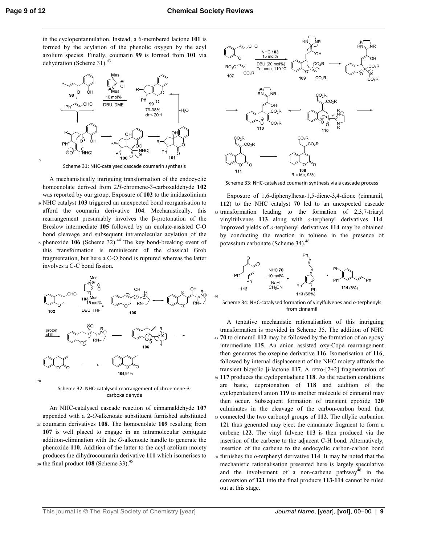5

40

in the cyclopentannulation. Instead, a 6-membered lactone **101** is formed by the acylation of the phenolic oxygen by the acyl azolium species. Finally, coumarin **99** is formed from **101** via dehydration (Scheme 31).<sup>43</sup>



Scheme 31: NHC-catalysed cascade coumarin synthesis

 A mechanistically intriguing transformation of the endocyclic homoenolate derived from 2*H*-chromene-3-carboxaldehyde **102** was reported by our group. Exposure of **102** to the imidazolinium <sup>10</sup>NHC catalyst **103** triggered an unexpected bond reorganisation to afford the coumarin derivative **104**. Mechanistically, this rearrangement presumably involves the β-protonation of the Breslow intermediate **105** followed by an enolate-assisted C-O bond cleavage and subsequent intramolecular acylation of the 15 phenoxide 106 (Scheme 32).<sup>44</sup> The key bond-breaking event of this transformation is reminiscent of the classical Grob fragmentation, but here a C-O bond is ruptured whereas the latter involves a C-C bond fission.



Scheme 32: NHC-catalysed rearrangement of chroemene-3 carboxaldehyde

 An NHC-catalysed cascade reaction of cinnamaldehyde **107** appended with a 2-*O*-alkenoate substituent furnished substituted <sup>25</sup>coumarin derivatives **108**. The homoenolate **109** resulting from **107** is well placed to engage in an intramolecular conjugate addition-elimination with the *O*-alkenoate handle to generate the phenoxide **110**. Addition of the latter to the acyl azolium moiety produces the dihydrocoumarin derivative **111** which isomerises to 30 the final product 108 (Scheme 33).<sup>45</sup>



Scheme 33: NHC-catalysed coumarin synthesis via a cascade process

 Exposure of 1,6-diphenylhexa-1,5-diene-3,4-dione (cinnamil, **112**) to the NHC catalyst **70** led to an unexpected cascade 35 transformation leading to the formation of 2,3,7-triaryl vinylfulvenes **113** along with *o*-terphenyl derivatives **114**. Improved yields of *o*-terphenyl derivatives **114** may be obtained by conducting the reaction in toluene in the presence of potassium carbonate (Scheme 34).<sup>46</sup>



Scheme 34: NHC-catalysed formation of vinylfulvenes and *o*-terphenyls from cinnamil

 A tentative mechanistic rationalisation of this intriguing transformation is provided in Scheme 35. The addition of NHC <sup>45</sup>**70** to cinnamil **112** may be followed by the formation of an epoxy intermediate **115**. An anion assisted oxy-Cope rearrangement then generates the oxepine derivative **116**. Isomerisation of **116**, followed by internal displacement of the NHC moiety affords the transient bicyclic β-lactone **117**. A retro-[2+2] fragmentation of <sup>50</sup>**117** produces the cyclopentadiene **118**. As the reaction conditions are basic, deprotonation of **118** and addition of the cyclopentadienyl anion **119** to another molecule of cinnamil may then occur. Subsequent formation of transient epoxide **120** culminates in the cleavage of the carbon-carbon bond that <sup>55</sup>connected the two carbonyl groups of **112**. The allylic carbanion **121** thus generated may eject the cinnamate fragment to form a carbene **122**. The vinyl fulvene **113** is then produced via the insertion of the carbene to the adjacent C-H bond. Alternatively, insertion of the carbene to the endocyclic carbon-carbon bond <sup>60</sup>furnishes the *o*-terphenyl derivative **114**. It may be noted that the mechanistic rationalisation presented here is largely speculative and the involvement of a non-carbene pathway<sup>46</sup> in the conversion of **121** into the final products **113-114** cannot be ruled out at this stage.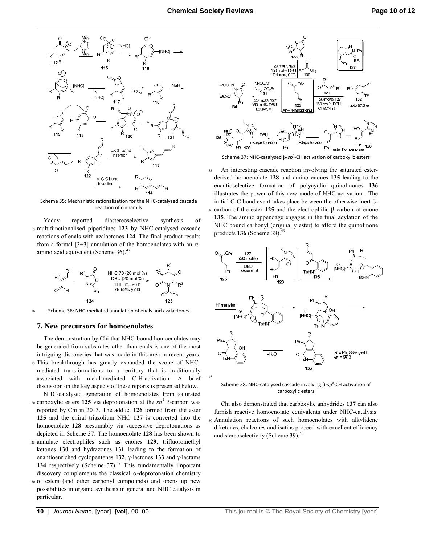

Scheme 35: Mechanistic rationalisation for the NHC-catalysed cascade reaction of cinnamils

 Yadav reported diastereoselective synthesis of <sup>5</sup>multifunctionalised piperidines **123** by NHC-catalysed cascade reactions of enals with azalactones **124**. The final product results from a formal [3+3] annulation of the homoenolates with an  $α$ amino acid equivalent (Scheme  $36$ ).<sup>47</sup>



10 Scheme 36: NHC-mediated annulation of enals and azalactones

#### **7. New precursors for homoenolates**

 The demonstration by Chi that NHC-bound homoenolates may be generated from substrates other than enals is one of the most intriguing discoveries that was made in this area in recent years. 15 This breakthrough has greatly expanded the scope of NHCmediated transformations to a territory that is traditionally associated with metal-mediated C-H-activation. A brief discussion on the key aspects of these reports is presented below.

 NHC-catalysed generation of homoenolates from saturated <sup>20</sup> carboxylic esters **125** via deprotonation at the *sp*<sup>3</sup> β-carbon was reported by Chi in 2013. The adduct **126** formed from the ester **125** and the chiral triazolium NHC **127** is converted into the homoenolate **128** presumably via successive deprotonations as depicted in Scheme 37. The homoenolate **128** has been shown to

- <sup>25</sup>annulate electrophiles such as enones **129**, trifluoromethyl ketones **130** and hydrazones **131** leading to the formation of enantioenriched cyclopentenes **132**, γ-lactones **133** and γ-lactams 134 respectively (Scheme 37).<sup>48</sup> This fundamentally important discovery complements the classical α-deprotonation chemistry
- <sup>30</sup>of esters (and other carbonyl compounds) and opens up new possibilities in organic synthesis in general and NHC catalysis in particular.



Scheme 37: NHC-catalysed β-sp<sup>3</sup>-CH activation of carboxylic esters

35 An interesting cascade reaction involving the saturated esterderived homoenolate **128** and amino enones **135** leading to the enantioselective formation of polycyclic quinolinones **136**  illustrates the power of this new mode of NHC-activation. The initial C-C bond event takes place between the otherwise inert β-<sup>40</sup>carbon of the ester **125** and the electrophilic β-carbon of enone **135**. The amino appendage engages in the final acylation of the NHC bound carbonyl (originally ester) to afford the quinolinone products **136** (Scheme 38).<sup>49</sup>



Scheme 38: NHC-catalysed cascade involving β-sp<sup>3</sup>-CH activation of carboxylic esters

 Chi also demonstrated that carboxylic anhydrides **137** can also furnish reactive homoenolate equivalents under NHC-catalysis. <sup>50</sup>Annulation reactions of such homoenolates with alkylidene diketones, chalcones and isatins proceed with excellent efficiency and stereoselectivity (Scheme 39).<sup>50</sup>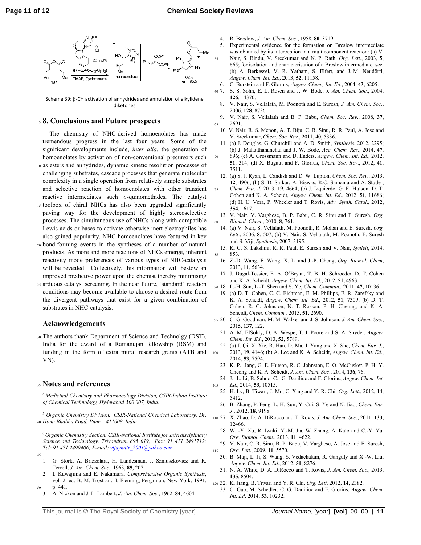

Scheme 39: β-CH activation of anhydrides and annulation of alkylidene diketones

#### <sup>5</sup>**8. Conclusions and Future prospects**

 The chemistry of NHC-derived homoenolates has made tremendous progress in the last four years. Some of the significant developments include, *inter alia*, the generation of homoenolates by activation of non-conventional precursors such <sup>10</sup>as esters and anhydrides, dynamic kinetic resolution processes of challenging substrates, cascade processes that generate molecular complexity in a single operation from relatively simple substrates and selective reaction of homoenolates with other transient reactive intermediates such *o*-quinomethides. The catalyst

- 15 toolbox of chiral NHCs has also been upgraded significantly paving way for the development of highly stereoselective processes. The simultaneous use of NHCs along with compatible Lewis acids or bases to activate otherwise inert electrophiles has also gained popularity. NHC-homoenolates have featured in key
- <sup>20</sup>bond-forming events in the syntheses of a number of natural products. As more and more reactions of NHCs emerge, inherent reactivity mode preferences of various types of NHC-catalysts will be revealed. Collectively, this information will bestow an improved predictive power upon the chemist thereby minimising
- <sup>25</sup>arduous catalyst screening. In the near future, 'standard' reaction conditions may become available to choose a desired route from the divergent pathways that exist for a given combination of substrates in NHC-catalysis.

#### **Acknowledgements**

<sup>30</sup>The authors thank Department of Science and Technolgy (DST), India for the award of a Ramanujan fellowship (RSM) and funding in the form of extra mural research grants (ATB and VN).

#### <sup>35</sup>**Notes and references**

*<sup>a</sup>Medicinal Chemistry and Pharmacology Division, CSIR-Indian Institute of Chemical Technology, Hyderabad-500 007, India.* 

*b Organic Chemistry Division, CSIR-National Chemical Laboratory, Dr.*  <sup>40</sup>*Homi Bhabha Road, Pune – 411008, India* 

*<sup>c</sup>Organic Chemistry Section, CSIR-National Institute for Interdisciplinary Science and Technology, Trivandrum 695 019, Fax: 91 471 2491712; Tel: 91 471 2490406; E-mail: vijaynair\_2001@yahoo.com*

- 45
	- 1. G. Stork, A. Brizzolara, H. Landesman, J. Szmuszkovicz and R. Terrell, *J. Am. Chem. Soc*., 1963, **85**, 207.
- 2. I. Kuwajima and E. Nakamura, *Comprehensive Organic Synthesis*, vol. 2, ed. B. M. Trost and I. Fleming, Pergamon, New York, 1991, <sup>50</sup>p. 441.
- 3. A. Nickon and J. L. Lambert, *J. Am. Chem. Soc*., 1962, **84**, 4604.
- 
- 4. R. Breslow, *J. Am. Chem. Soc*., 1958, **80**, 3719.
- 5. Experimental evidence for the formation on Breslow intermediate was obtained by its interception in a multicomponent reaction: (a) V. <sup>55</sup>Nair, S. Bindu, V. Sreekumar and N. P. Rath, *Org. Lett*., 2003, **5**, 665; for isolation and characterisation of a Breslow intermediate, see: (b) A. Berkessel, V. R. Yatham, S. Elfert, and J.-M. Neudörfl, *Angew. Chem. Int. Ed*., 2013, **52**, 11158.
- 6. C. Burstein and F. Glorius, *Angew. Chem., Int. Ed*., 2004, **43**, 6205.
- <sup>60</sup>7. S. S. Sohn, E. L. Rosen and J. W. Bode, *J. Am. Chem. Soc*., 2004, **126**, 14370.
- 8. V. Nair, S. Vellalath, M. Poonoth and E. Suresh, *J. Am. Chem. Soc*., 2006, **128**, 8736.
- 9. V. Nair, S. Vellalath and B. P. Babu, *Chem. Soc. Rev*., 2008, **37**, <sup>65</sup>2691.
- 10. V. Nair, R. S. Menon, A. T. Biju, C. R. Sinu, R. R. Paul, A. Jose and V. Sreekumar, *Chem. Soc. Rev*., 2011, **40**, 5336.
- 11. (a) J. Douglas, G. Churchill and A. D. Smith, *Synthesis*, 2012, 2295; (b) J. Mahatthananchai and J. W. Bode, *Acc. Chem. Res*., 2014, **47**,
- <sup>70</sup>696; (c) A. Grossmann and D. Enders, *Angew. Chem. Int. Ed*., 2012, **51**, 314; (d) X. Bugaut and F. Glorius, *Chem. Soc. Rev*., 2012, **41**, 3511.
- 12. (a) S. J. Ryan, L. Candish and D. W. Lupton, *Chem. Soc. Rev*., 2013, **42**, 4906; (b) S. D. Sarkar, A. Biswas, R.C. Samanta and A. Studer,
- <sup>75</sup>*Chem. Eur. J*. 2013, **19**, 4664; (c) J. Izquierdo, G. E. Hutson, D. T. Cohen and K. A. Scheidt, *Angew. Chem. Int. Ed*., 2012, **51**, 11686; (d) H. U. Vora, P. Wheeler and T. Rovis, *Adv. Synth. Catal*., 2012, **354**, 1617.
- 13. V. Nair, V. Varghese, B. P. Babu, C. R. Sinu and E. Suresh, *Org.*  <sup>80</sup>*Biomol. Chem*., 2010, **8**, 761.
	- 14. (a) V. Nair, S. Vellalath, M. Poonoth, R. Mohan and E. Suresh, *Org. Lett*., 2006, **8**, 507; (b) V. Nair, S. Vellalath, M. Poonoth, E. Suresh and S. Viji, *Synthesis*, 2007, 3195.
- 15. K. C. S. Lakshmi, R. R. Paul, E. Suresh and V. Nair, *Synlett*, 2014, 853.
- 16. Z.-D. Wang, F. Wang, X. Li and J.-P. Cheng, *Org. Biomol. Chem*, 2013, **11**, 5634.
- 17. J. Dugal-Tessier, E. A. O'Bryan, T. B. H. Schroeder, D. T. Cohen and K. A. Scheidt, *Angew. Chem. Int. Ed*., 2012, **51**, 4963.
- <sup>90</sup>18. L.-H. Sun, L.-T. Shen and S. Ye, *Chem. Commun.,* 2011, **47**, 10136.
- 19. (a) D. T. Cohen, C. C. Eichman, E. M. Phillips, E. R. Zarefsky and K. A. Scheidt, *Angew. Chem. Int. Ed*., 2012, **51**, 7309; (b) D. T. Cohen, R. C. Johnston, N. T. Rosson, P. H. Cheong, and K. A. Scheidt, *Chem. Commun.,* 2015, **51**, 2690.
- <sup>95</sup>20. C. G. Goodman, M. M. Walker and J. S. Johnson, *J. Am. Chem. Soc*., 2015, **137**, 122.
	- 21. A. M. ElSohly, D. A. Wespe, T. J. Poore and S. A. Snyder, *Angew. Chem. Int. Ed*., 2013, **52**, 5789.
- 22. (a) J. Qi, X. Xie, R. Han, D. Ma, J. Yang and X. She, *Chem. Eur. J*., <sup>100</sup>2013, **19**, 4146; (b) A. Lee and K. A. Scheidt, *Angew. Chem. Int. Ed*., 2014, **53**, 7594.
- 23. K. P. Jang, G. E. Hutson, R. C. Johnston, E. O. McCusker, P. H.-Y. Cheong and K. A. Scheidt, *J. Am. Chem. Soc*., 2014, **136**, 76.
- 24. J. -L. Li, B. Sahoo, C. -G. Daniliuc and F. Glorius, *Angew. Chem. Int.*  <sup>105</sup>*Ed*., 2014, **53**, 10515.
- 25. H. Lv, B. Tiwari, J. Mo, C. Xing and Y. R. Chi, *Org. Lett*., 2012, **14**, 5412.
- 26. B. Zhang, P. Feng, L.-H. Sun, Y. Cui, S. Ye and N. Jiao, *Chem. Eur. J*., 2012, **18**, 9198.
- <sup>110</sup>27. X. Zhao, D. A. DiRocco and T. Rovis, *J. Am. Chem. Soc*., 2011, **133**, 12466.
	- 28. W. -Y. Xu, R. Iwaki, Y.-M. Jia, W. Zhang, A. Kato and C.-Y. Yu. *Org. Biomol. Chem*., 2013, **11**, 4622.
- 29. V. Nair, C. R. Sinu, B. P. Babu, V. Varghese, A. Jose and E. Suresh, <sup>115</sup>*Org. Lett*., 2009, **11**, 5570.
	- 30. B. Maji, L. Ji, S. Wang, S. Vedachalam, R. Ganguly and X.-W. Liu, *Angew. Chem. Int. Ed*., 2012, **51**, 8276.
	- 31. N. A. White, D. A. DiRocco and T. Rovis, *J. Am. Chem. Soc*., 2013, **135**, 8504.
- <sup>120</sup>32. K. Jiang, B. Tiwari and Y. R. Chi, *Org. Lett*. 2012, **14**, 2382.
	- 33. C. Guo, M. Schedler, C. G. Daniliuc and F. Glorius, *Angew. Chem. Int. Ed*. 2014, **53**, 10232.